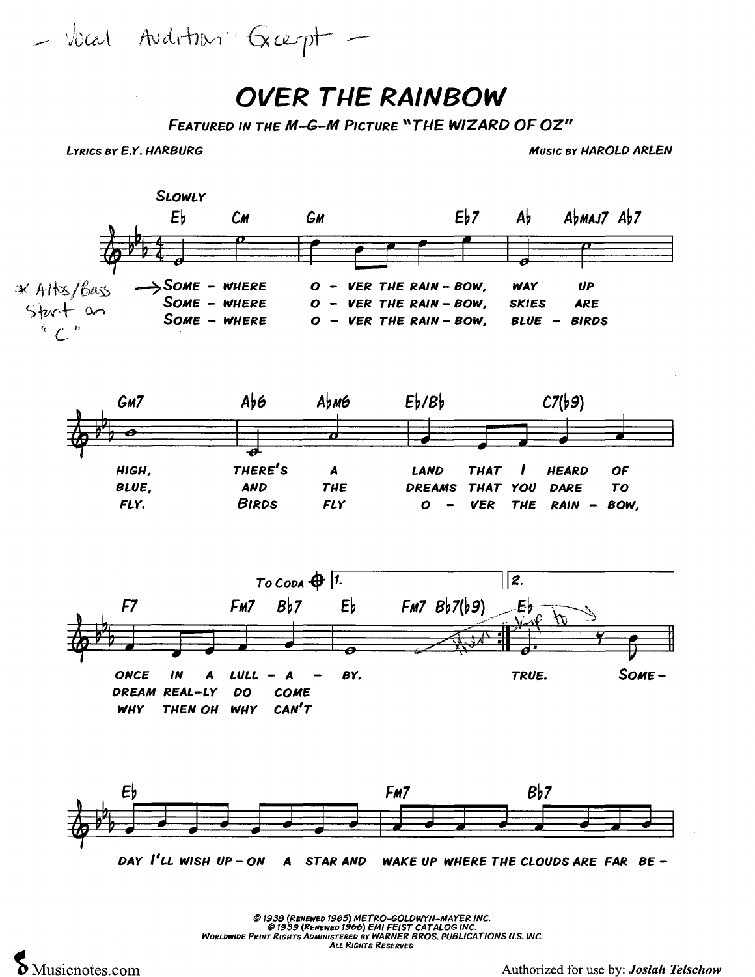$-$  bear Avditon Grapt -

## **OVER THE RAINBOW**

*FEATURED IN TUE M-G-M PICTURE "TUE WIZARD OF OZ"* 

**LYRICS BY E.Y. HARBURG MUSIC BY I-IAROLD ARLEN** 



@ 1938 *(RENEWED* 1965) *METRO-GOLDWYN-MAYER INC. @1939(RENEWED1966)EMI FEIST CATALOG INC. WORLDWIDE PRINT RIGUTS ADMINISTERED BY WARNER BROS. PUBLICA TlONS U.S. INC. ALL RIGUTS RESERVED*